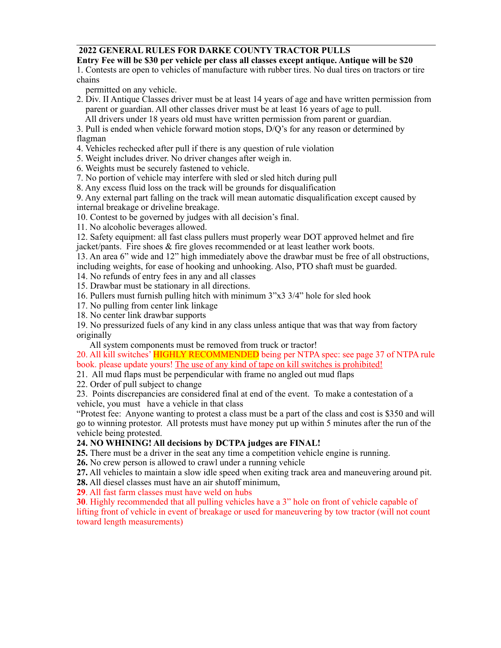#### **2022 GENERAL RULES FOR DARKE COUNTY TRACTOR PULLS**

#### **Entry Fee will be \$30 per vehicle per class all classes except antique. Antique will be \$20**

1. Contests are open to vehicles of manufacture with rubber tires. No dual tires on tractors or tire chains

permitted on any vehicle.

- 2. Div. II Antique Classes driver must be at least 14 years of age and have written permission from parent or guardian. All other classes driver must be at least 16 years of age to pull. All drivers under 18 years old must have written permission from parent or guardian.
- 3. Pull is ended when vehicle forward motion stops, D/Q's for any reason or determined by flagman
- 4. Vehicles rechecked after pull if there is any question of rule violation
- 5. Weight includes driver. No driver changes after weigh in.
- 6. Weights must be securely fastened to vehicle.
- 7. No portion of vehicle may interfere with sled or sled hitch during pull
- 8. Any excess fluid loss on the track will be grounds for disqualification

9. Any external part falling on the track will mean automatic disqualification except caused by internal breakage or driveline breakage.

- 10. Contest to be governed by judges with all decision's final.
- 11. No alcoholic beverages allowed.

12. Safety equipment: all fast class pullers must properly wear DOT approved helmet and fire jacket/pants. Fire shoes & fire gloves recommended or at least leather work boots.

13. An area 6" wide and 12" high immediately above the drawbar must be free of all obstructions, including weights, for ease of hooking and unhooking. Also, PTO shaft must be guarded.

14. No refunds of entry fees in any and all classes

15. Drawbar must be stationary in all directions.

- 16. Pullers must furnish pulling hitch with minimum 3"x3 3/4" hole for sled hook
- 17. No pulling from center link linkage
- 18. No center link drawbar supports

19. No pressurized fuels of any kind in any class unless antique that was that way from factory originally

All system components must be removed from truck or tractor!

20. All kill switches' HIGHLY RECOMMENDED being per NTPA spec: see page 37 of NTPA rule book. please update yours! The use of any kind of tape on kill switches is prohibited!

- 21. All mud flaps must be perpendicular with frame no angled out mud flaps
- 22. Order of pull subject to change

23. Points discrepancies are considered final at end of the event. To make a contestation of a vehicle, you must have a vehicle in that class

"Protest fee: Anyone wanting to protest a class must be a part of the class and cost is \$350 and will go to winning protestor. All protests must have money put up within 5 minutes after the run of the vehicle being protested.

#### **24. NO WHINING! All decisions by DCTPA judges are FINAL!**

**25.** There must be a driver in the seat any time a competition vehicle engine is running.

**26.** No crew person is allowed to crawl under a running vehicle

**27.** All vehicles to maintain a slow idle speed when exiting track area and maneuvering around pit.

**28.** All diesel classes must have an air shutoff minimum,

**29**. All fast farm classes must have weld on hubs

**30**. Highly recommended that all pulling vehicles have a 3" hole on front of vehicle capable of lifting front of vehicle in event of breakage or used for maneuvering by tow tractor (will not count toward length measurements)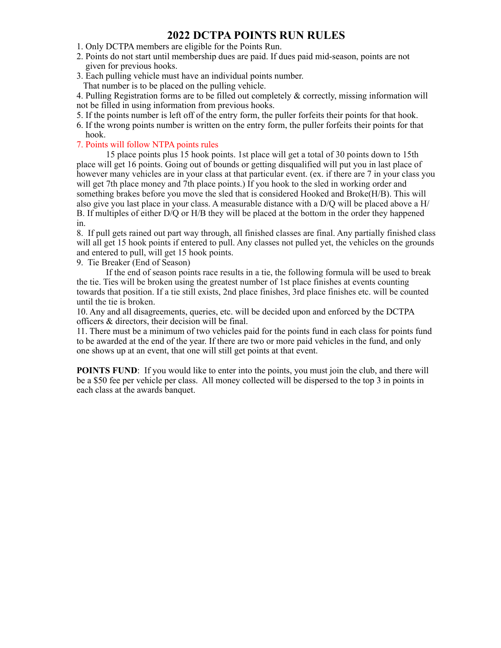### **2022 DCTPA POINTS RUN RULES**

- 1. Only DCTPA members are eligible for the Points Run.
- 2. Points do not start until membership dues are paid. If dues paid mid-season, points are not given for previous hooks.
- 3. Each pulling vehicle must have an individual points number. That number is to be placed on the pulling vehicle.

4. Pulling Registration forms are to be filled out completely & correctly, missing information will not be filled in using information from previous hooks.

- 5. If the points number is left off of the entry form, the puller forfeits their points for that hook.
- 6. If the wrong points number is written on the entry form, the puller forfeits their points for that hook.

#### 7. Points will follow NTPA points rules

15 place points plus 15 hook points. 1st place will get a total of 30 points down to 15th place will get 16 points. Going out of bounds or getting disqualified will put you in last place of however many vehicles are in your class at that particular event. (ex. if there are 7 in your class you will get 7th place money and 7th place points.) If you hook to the sled in working order and something brakes before you move the sled that is considered Hooked and Broke(H/B). This will also give you last place in your class. A measurable distance with a D/Q will be placed above a H/ B. If multiples of either D/Q or H/B they will be placed at the bottom in the order they happened in.

8. If pull gets rained out part way through, all finished classes are final. Any partially finished class will all get 15 hook points if entered to pull. Any classes not pulled yet, the vehicles on the grounds and entered to pull, will get 15 hook points.

9. Tie Breaker (End of Season)

 If the end of season points race results in a tie, the following formula will be used to break the tie. Ties will be broken using the greatest number of 1st place finishes at events counting towards that position. If a tie still exists, 2nd place finishes, 3rd place finishes etc. will be counted until the tie is broken.

10. Any and all disagreements, queries, etc. will be decided upon and enforced by the DCTPA officers & directors, their decision will be final.

11. There must be a minimum of two vehicles paid for the points fund in each class for points fund to be awarded at the end of the year. If there are two or more paid vehicles in the fund, and only one shows up at an event, that one will still get points at that event.

**POINTS FUND**: If you would like to enter into the points, you must join the club, and there will be a \$50 fee per vehicle per class. All money collected will be dispersed to the top 3 in points in each class at the awards banquet.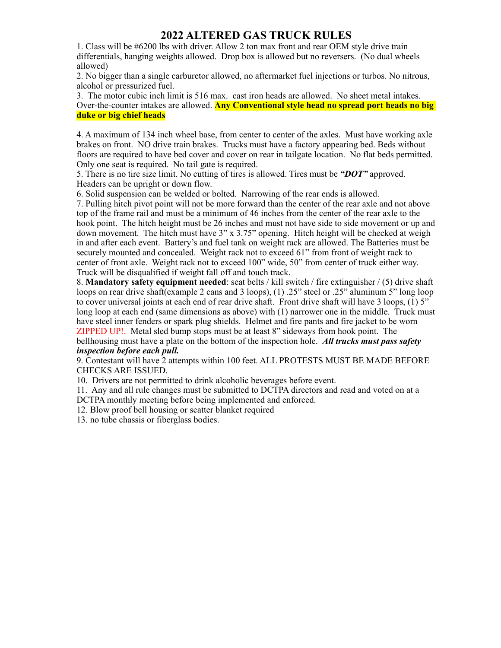## **2022 ALTERED GAS TRUCK RULES**

1. Class will be #6200 lbs with driver. Allow 2 ton max front and rear OEM style drive train differentials, hanging weights allowed. Drop box is allowed but no reversers. (No dual wheels allowed)

2. No bigger than a single carburetor allowed, no aftermarket fuel injections or turbos. No nitrous, alcohol or pressurized fuel.

3. The motor cubic inch limit is 516 max. cast iron heads are allowed. No sheet metal intakes. Over-the-counter intakes are allowed. **Any Conventional style head no spread port heads no big duke or big chief heads**

4. A maximum of 134 inch wheel base, from center to center of the axles. Must have working axle brakes on front. NO drive train brakes. Trucks must have a factory appearing bed. Beds without floors are required to have bed cover and cover on rear in tailgate location. No flat beds permitted. Only one seat is required. No tail gate is required.

5. There is no tire size limit. No cutting of tires is allowed. Tires must be *"DOT"* approved. Headers can be upright or down flow.

6. Solid suspension can be welded or bolted. Narrowing of the rear ends is allowed.

7. Pulling hitch pivot point will not be more forward than the center of the rear axle and not above top of the frame rail and must be a minimum of 46 inches from the center of the rear axle to the hook point. The hitch height must be 26 inches and must not have side to side movement or up and down movement. The hitch must have 3" x 3.75" opening. Hitch height will be checked at weigh in and after each event. Battery's and fuel tank on weight rack are allowed. The Batteries must be securely mounted and concealed. Weight rack not to exceed 61" from front of weight rack to center of front axle. Weight rack not to exceed 100" wide, 50" from center of truck either way. Truck will be disqualified if weight fall off and touch track.

8. **Mandatory safety equipment needed**: seat belts / kill switch / fire extinguisher / (5) drive shaft loops on rear drive shaft(example 2 cans and 3 loops), (1) .25" steel or .25" aluminum 5" long loop to cover universal joints at each end of rear drive shaft. Front drive shaft will have 3 loops, (1) 5" long loop at each end (same dimensions as above) with (1) narrower one in the middle. Truck must have steel inner fenders or spark plug shields. Helmet and fire pants and fire jacket to be worn ZIPPED UP!. Metal sled bump stops must be at least 8" sideways from hook point. The bellhousing must have a plate on the bottom of the inspection hole. *All trucks must pass safety* 

*inspection before each pull.*

9. Contestant will have 2 attempts within 100 feet. ALL PROTESTS MUST BE MADE BEFORE CHECKS ARE ISSUED.

10. Drivers are not permitted to drink alcoholic beverages before event.

11. Any and all rule changes must be submitted to DCTPA directors and read and voted on at a

DCTPA monthly meeting before being implemented and enforced.

12. Blow proof bell housing or scatter blanket required

13. no tube chassis or fiberglass bodies.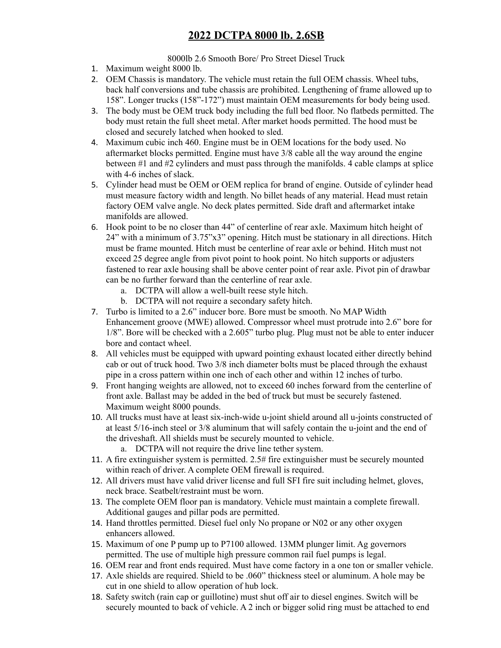# **2022 DCTPA 8000 lb. 2.6SB**

8000lb 2.6 Smooth Bore/ Pro Street Diesel Truck

- 1. Maximum weight 8000 lb.
- 2. OEM Chassis is mandatory. The vehicle must retain the full OEM chassis. Wheel tubs, back half conversions and tube chassis are prohibited. Lengthening of frame allowed up to 158". Longer trucks (158"-172") must maintain OEM measurements for body being used.
- 3. The body must be OEM truck body including the full bed floor. No flatbeds permitted. The body must retain the full sheet metal. After market hoods permitted. The hood must be closed and securely latched when hooked to sled.
- 4. Maximum cubic inch 460. Engine must be in OEM locations for the body used. No aftermarket blocks permitted. Engine must have 3/8 cable all the way around the engine between #1 and #2 cylinders and must pass through the manifolds. 4 cable clamps at splice with 4-6 inches of slack.
- 5. Cylinder head must be OEM or OEM replica for brand of engine. Outside of cylinder head must measure factory width and length. No billet heads of any material. Head must retain factory OEM valve angle. No deck plates permitted. Side draft and aftermarket intake manifolds are allowed.
- 6. Hook point to be no closer than 44" of centerline of rear axle. Maximum hitch height of 24" with a minimum of 3.75"x3" opening. Hitch must be stationary in all directions. Hitch must be frame mounted. Hitch must be centerline of rear axle or behind. Hitch must not exceed 25 degree angle from pivot point to hook point. No hitch supports or adjusters fastened to rear axle housing shall be above center point of rear axle. Pivot pin of drawbar can be no further forward than the centerline of rear axle.
	- a. DCTPA will allow a well-built reese style hitch.
	- b. DCTPA will not require a secondary safety hitch.
- 7. Turbo is limited to a 2.6" inducer bore. Bore must be smooth. No MAP Width Enhancement groove (MWE) allowed. Compressor wheel must protrude into 2.6" bore for 1/8". Bore will be checked with a 2.605" turbo plug. Plug must not be able to enter inducer bore and contact wheel.
- 8. All vehicles must be equipped with upward pointing exhaust located either directly behind cab or out of truck hood. Two 3/8 inch diameter bolts must be placed through the exhaust pipe in a cross pattern within one inch of each other and within 12 inches of turbo.
- 9. Front hanging weights are allowed, not to exceed 60 inches forward from the centerline of front axle. Ballast may be added in the bed of truck but must be securely fastened. Maximum weight 8000 pounds.
- 10. All trucks must have at least six-inch-wide u-joint shield around all u-joints constructed of at least 5/16-inch steel or 3/8 aluminum that will safely contain the u-joint and the end of the driveshaft. All shields must be securely mounted to vehicle.
	- a. DCTPA will not require the drive line tether system.
- 11. A fire extinguisher system is permitted. 2.5# fire extinguisher must be securely mounted within reach of driver. A complete OEM firewall is required.
- 12. All drivers must have valid driver license and full SFI fire suit including helmet, gloves, neck brace. Seatbelt/restraint must be worn.
- 13. The complete OEM floor pan is mandatory. Vehicle must maintain a complete firewall. Additional gauges and pillar pods are permitted.
- 14. Hand throttles permitted. Diesel fuel only No propane or N02 or any other oxygen enhancers allowed.
- 15. Maximum of one P pump up to P7100 allowed. 13MM plunger limit. Ag governors permitted. The use of multiple high pressure common rail fuel pumps is legal.
- 16. OEM rear and front ends required. Must have come factory in a one ton or smaller vehicle.
- 17. Axle shields are required. Shield to be .060" thickness steel or aluminum. A hole may be cut in one shield to allow operation of hub lock.
- 18. Safety switch (rain cap or guillotine) must shut off air to diesel engines. Switch will be securely mounted to back of vehicle. A 2 inch or bigger solid ring must be attached to end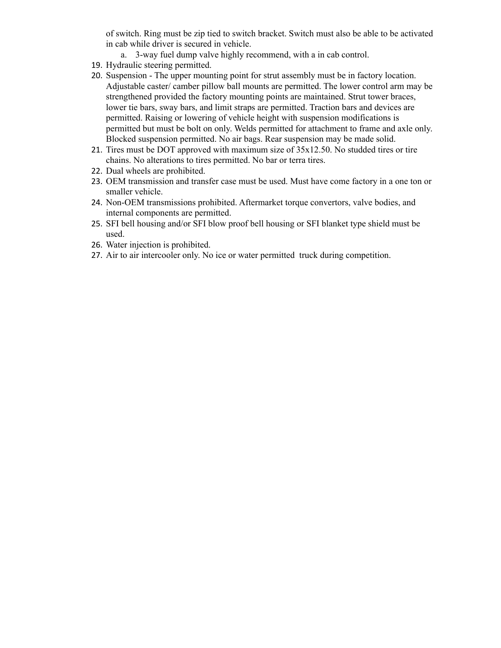of switch. Ring must be zip tied to switch bracket. Switch must also be able to be activated in cab while driver is secured in vehicle.

- a. 3-way fuel dump valve highly recommend, with a in cab control.
- 19. Hydraulic steering permitted.
- 20. Suspension The upper mounting point for strut assembly must be in factory location. Adjustable caster/ camber pillow ball mounts are permitted. The lower control arm may be strengthened provided the factory mounting points are maintained. Strut tower braces, lower tie bars, sway bars, and limit straps are permitted. Traction bars and devices are permitted. Raising or lowering of vehicle height with suspension modifications is permitted but must be bolt on only. Welds permitted for attachment to frame and axle only. Blocked suspension permitted. No air bags. Rear suspension may be made solid.
- 21. Tires must be DOT approved with maximum size of 35x12.50. No studded tires or tire chains. No alterations to tires permitted. No bar or terra tires.
- 22. Dual wheels are prohibited.
- 23. OEM transmission and transfer case must be used. Must have come factory in a one ton or smaller vehicle.
- 24. Non-OEM transmissions prohibited. Aftermarket torque convertors, valve bodies, and internal components are permitted.
- 25. SFI bell housing and/or SFI blow proof bell housing or SFI blanket type shield must be used.
- 26. Water injection is prohibited.
- 27. Air to air intercooler only. No ice or water permitted truck during competition.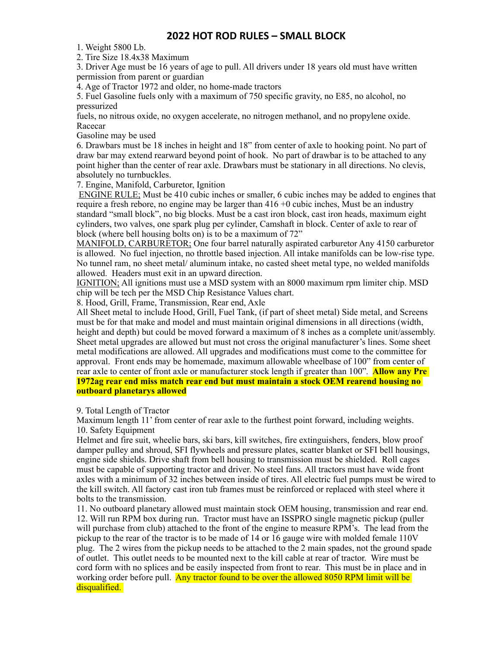### **2022 HOT ROD RULES - SMALL BLOCK**

1. Weight 5800 Lb.

2. Tire Size 18.4x38 Maximum

3. Driver Age must be 16 years of age to pull. All drivers under 18 years old must have written permission from parent or guardian

4. Age of Tractor 1972 and older, no home-made tractors

5. Fuel Gasoline fuels only with a maximum of 750 specific gravity, no E85, no alcohol, no pressurized

fuels, no nitrous oxide, no oxygen accelerate, no nitrogen methanol, and no propylene oxide. Racecar

Gasoline may be used

6. Drawbars must be 18 inches in height and 18" from center of axle to hooking point. No part of draw bar may extend rearward beyond point of hook. No part of drawbar is to be attached to any point higher than the center of rear axle. Drawbars must be stationary in all directions. No clevis, absolutely no turnbuckles.

7. Engine, Manifold, Carburetor, Ignition

ENGINE RULE; Must be 410 cubic inches or smaller, 6 cubic inches may be added to engines that require a fresh rebore, no engine may be larger than 416 +0 cubic inches, Must be an industry standard "small block", no big blocks. Must be a cast iron block, cast iron heads, maximum eight cylinders, two valves, one spark plug per cylinder, Camshaft in block. Center of axle to rear of block (where bell housing bolts on) is to be a maximum of 72"

MANIFOLD, CARBURETOR; One four barrel naturally aspirated carburetor Any 4150 carburetor is allowed. No fuel injection, no throttle based injection. All intake manifolds can be low-rise type. No tunnel ram, no sheet metal/ aluminum intake, no casted sheet metal type, no welded manifolds allowed. Headers must exit in an upward direction.

IGNITION; All ignitions must use a MSD system with an 8000 maximum rpm limiter chip. MSD chip will be tech per the MSD Chip Resistance Values chart.

8. Hood, Grill, Frame, Transmission, Rear end, Axle

All Sheet metal to include Hood, Grill, Fuel Tank, (if part of sheet metal) Side metal, and Screens must be for that make and model and must maintain original dimensions in all directions (width, height and depth) but could be moved forward a maximum of 8 inches as a complete unit/assembly. Sheet metal upgrades are allowed but must not cross the original manufacturer's lines. Some sheet metal modifications are allowed. All upgrades and modifications must come to the committee for approval. Front ends may be homemade, maximum allowable wheelbase of 100" from center of rear axle to center of front axle or manufacturer stock length if greater than 100"*.* **Allow any Pre 1972ag rear end miss match rear end but must maintain a stock OEM rearend housing no outboard planetarys allowed** 

9. Total Length of Tractor

Maximum length 11' from center of rear axle to the furthest point forward, including weights. 10. Safety Equipment

Helmet and fire suit, wheelie bars, ski bars, kill switches, fire extinguishers, fenders, blow proof damper pulley and shroud, SFI flywheels and pressure plates, scatter blanket or SFI bell housings, engine side shields. Drive shaft from bell housing to transmission must be shielded. Roll cages must be capable of supporting tractor and driver. No steel fans. All tractors must have wide front axles with a minimum of 32 inches between inside of tires. All electric fuel pumps must be wired to the kill switch. All factory cast iron tub frames must be reinforced or replaced with steel where it bolts to the transmission.

11. No outboard planetary allowed must maintain stock OEM housing, transmission and rear end. 12. Will run RPM box during run. Tractor must have an ISSPRO single magnetic pickup (puller will purchase from club) attached to the front of the engine to measure RPM's. The lead from the pickup to the rear of the tractor is to be made of 14 or 16 gauge wire with molded female 110V plug. The 2 wires from the pickup needs to be attached to the 2 main spades, not the ground spade of outlet. This outlet needs to be mounted next to the kill cable at rear of tractor. Wire must be cord form with no splices and be easily inspected from front to rear. This must be in place and in working order before pull. Any tractor found to be over the allowed 8050 RPM limit will be disqualified.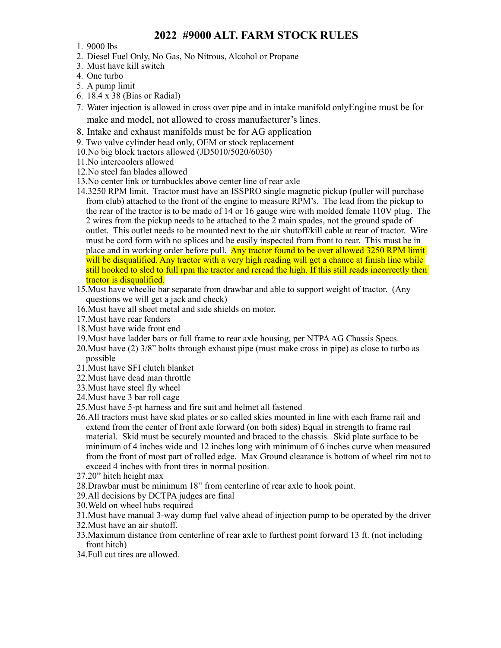## **2022 #9000 ALT. FARM STOCK RULES**

- 1. 9000 lbs
- 2. Diesel Fuel Only, No Gas, No Nitrous, Alcohol or Propane
- 3. Must have kill switch
- 4. One turbo
- 5. A pump limit
- 6. 18.4 x 38 (Bias or Radial)
- 7. Water injection is allowed in cross over pipe and in intake manifold onlyEngine must be for make and model, not allowed to cross manufacturer's lines.
- 8. Intake and exhaust manifolds must be for AG application
- 9. Two valve cylinder head only, OEM or stock replacement
- 10.No big block tractors allowed (JD5010/5020/6030)
- 11.No intercoolers allowed
- 12.No steel fan blades allowed
- 13.No center link or turnbuckles above center line of rear axle
- 14.3250 RPM limit. Tractor must have an ISSPRO single magnetic pickup (puller will purchase from club) attached to the front of the engine to measure RPM's. The lead from the pickup to the rear of the tractor is to be made of 14 or 16 gauge wire with molded female 110V plug. The 2 wires from the pickup needs to be attached to the 2 main spades, not the ground spade of outlet. This outlet needs to be mounted next to the air shutoff/kill cable at rear of tractor. Wire must be cord form with no splices and be easily inspected from front to rear. This must be in place and in working order before pull. Any tractor found to be over allowed 3250 RPM limit will be disqualified. Any tractor with a very high reading will get a chance at finish line while still hooked to sled to full rpm the tractor and reread the high. If this still reads incorrectly then tractor is disqualified.
- 15.Must have wheelie bar separate from drawbar and able to support weight of tractor. (Any questions we will get a jack and check)
- 16.Must have all sheet metal and side shields on motor.
- 17.Must have rear fenders
- 18.Must have wide front end
- 19.Must have ladder bars or full frame to rear axle housing, per NTPA AG Chassis Specs.
- 20.Must have (2) 3/8" bolts through exhaust pipe (must make cross in pipe) as close to turbo as possible
- 21.Must have SFI clutch blanket
- 22.Must have dead man throttle
- 23.Must have steel fly wheel
- 24.Must have 3 bar roll cage
- 25.Must have 5-pt harness and fire suit and helmet all fastened
- 26.All tractors must have skid plates or so called skies mounted in line with each frame rail and extend from the center of front axle forward (on both sides) Equal in strength to frame rail material. Skid must be securely mounted and braced to the chassis. Skid plate surface to be minimum of 4 inches wide and 12 inches long with minimum of 6 inches curve when measured from the front of most part of rolled edge. Max Ground clearance is bottom of wheel rim not to exceed 4 inches with front tires in normal position.
- 27.20" hitch height max
- 28.Drawbar must be minimum 18" from centerline of rear axle to hook point.
- 29.All decisions by DCTPA judges are final
- 30.Weld on wheel hubs required
- 31.Must have manual 3-way dump fuel valve ahead of injection pump to be operated by the driver
- 32.Must have an air shutoff.
- 33.Maximum distance from centerline of rear axle to furthest point forward 13 ft. (not including front hitch)
- 34.Full cut tires are allowed.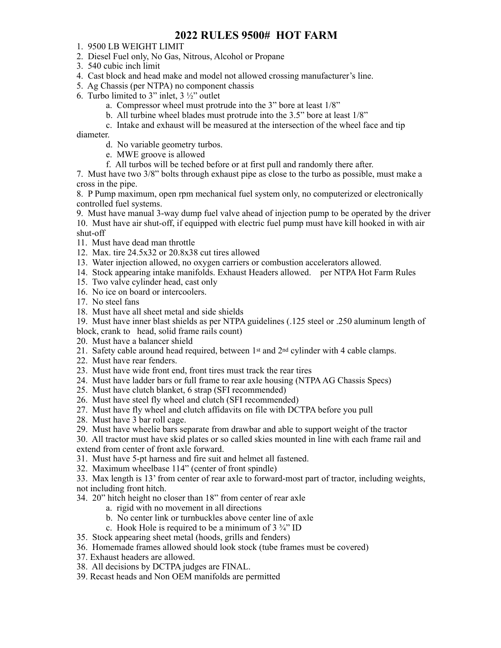## **2022 RULES 9500# HOT FARM**

- 1. 9500 LB WEIGHT LIMIT
- 2. Diesel Fuel only, No Gas, Nitrous, Alcohol or Propane
- 3. 540 cubic inch limit
- 4. Cast block and head make and model not allowed crossing manufacturer's line.
- 5. Ag Chassis (per NTPA) no component chassis
- 6. Turbo limited to 3" inlet,  $3\frac{1}{2}$ " outlet
	- a. Compressor wheel must protrude into the 3" bore at least 1/8"
	- b. All turbine wheel blades must protrude into the 3.5" bore at least 1/8"
	- c. Intake and exhaust will be measured at the intersection of the wheel face and tip

diameter.

- d. No variable geometry turbos.
- e. MWE groove is allowed
- f. All turbos will be teched before or at first pull and randomly there after.

7. Must have two 3/8" bolts through exhaust pipe as close to the turbo as possible, must make a cross in the pipe.

8. P Pump maximum, open rpm mechanical fuel system only, no computerized or electronically controlled fuel systems.

9. Must have manual 3-way dump fuel valve ahead of injection pump to be operated by the driver 10. Must have air shut-off, if equipped with electric fuel pump must have kill hooked in with air shut-off

- 11. Must have dead man throttle
- 12. Max. tire 24.5x32 or 20.8x38 cut tires allowed
- 13. Water injection allowed, no oxygen carriers or combustion accelerators allowed.
- 14. Stock appearing intake manifolds. Exhaust Headers allowed. per NTPA Hot Farm Rules
- 15. Two valve cylinder head, cast only
- 16. No ice on board or intercoolers.
- 17. No steel fans
- 18. Must have all sheet metal and side shields

19. Must have inner blast shields as per NTPA guidelines (.125 steel or .250 aluminum length of block, crank to head, solid frame rails count)

- 20. Must have a balancer shield
- 21. Safety cable around head required, between 1st and 2nd cylinder with 4 cable clamps.
- 22. Must have rear fenders.
- 23. Must have wide front end, front tires must track the rear tires
- 24. Must have ladder bars or full frame to rear axle housing (NTPA AG Chassis Specs)
- 25. Must have clutch blanket, 6 strap (SFI recommended)
- 26. Must have steel fly wheel and clutch (SFI recommended)
- 27. Must have fly wheel and clutch affidavits on file with DCTPA before you pull
- 28. Must have 3 bar roll cage.
- 29. Must have wheelie bars separate from drawbar and able to support weight of the tractor

30. All tractor must have skid plates or so called skies mounted in line with each frame rail and extend from center of front axle forward.

- 31. Must have 5-pt harness and fire suit and helmet all fastened.
- 32. Maximum wheelbase 114" (center of front spindle)

33. Max length is 13' from center of rear axle to forward-most part of tractor, including weights, not including front hitch.

34. 20" hitch height no closer than 18" from center of rear axle

- a. rigid with no movement in all directions
- b. No center link or turnbuckles above center line of axle
- c. Hook Hole is required to be a minimum of  $3\frac{3}{4}$ " ID
- 35. Stock appearing sheet metal (hoods, grills and fenders)
- 36. Homemade frames allowed should look stock (tube frames must be covered)
- 37. Exhaust headers are allowed.
- 38. All decisions by DCTPA judges are FINAL.
- 39. Recast heads and Non OEM manifolds are permitted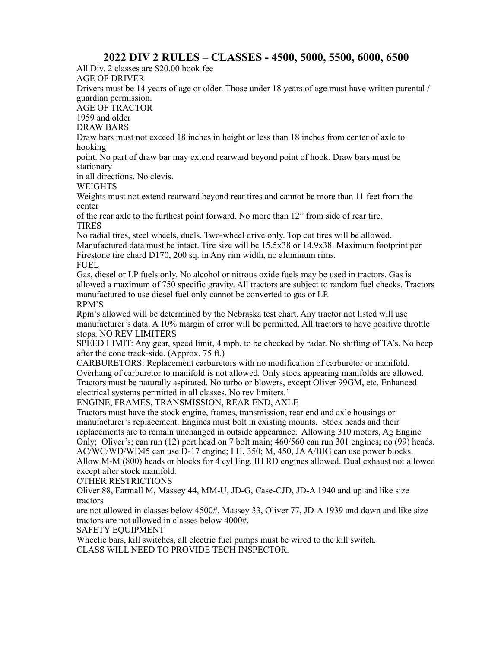## **2022 DIV 2 RULES – CLASSES - 4500, 5000, 5500, 6000, 6500**

All Div. 2 classes are \$20.00 hook fee

AGE OF DRIVER

Drivers must be 14 years of age or older. Those under 18 years of age must have written parental / guardian permission.

AGE OF TRACTOR

1959 and older

DRAW BARS

Draw bars must not exceed 18 inches in height or less than 18 inches from center of axle to hooking

point. No part of draw bar may extend rearward beyond point of hook. Draw bars must be stationary

in all directions. No clevis.

WEIGHTS

Weights must not extend rearward beyond rear tires and cannot be more than 11 feet from the center

of the rear axle to the furthest point forward. No more than 12" from side of rear tire. TIRES

No radial tires, steel wheels, duels. Two-wheel drive only. Top cut tires will be allowed. Manufactured data must be intact. Tire size will be 15.5x38 or 14.9x38. Maximum footprint per Firestone tire chard D170, 200 sq. in Any rim width, no aluminum rims. FUEL

Gas, diesel or LP fuels only. No alcohol or nitrous oxide fuels may be used in tractors. Gas is allowed a maximum of 750 specific gravity. All tractors are subject to random fuel checks. Tractors manufactured to use diesel fuel only cannot be converted to gas or LP. RPM'S

Rpm's allowed will be determined by the Nebraska test chart. Any tractor not listed will use manufacturer's data. A 10% margin of error will be permitted. All tractors to have positive throttle stops. NO REV LIMITERS

SPEED LIMIT: Any gear, speed limit, 4 mph, to be checked by radar. No shifting of TA's. No beep after the cone track-side. (Approx. 75 ft.)

CARBURETORS: Replacement carburetors with no modification of carburetor or manifold. Overhang of carburetor to manifold is not allowed. Only stock appearing manifolds are allowed. Tractors must be naturally aspirated. No turbo or blowers, except Oliver 99GM, etc. Enhanced electrical systems permitted in all classes. No rev limiters.'

ENGINE, FRAMES, TRANSMISSION, REAR END, AXLE

Tractors must have the stock engine, frames, transmission, rear end and axle housings or manufacturer's replacement. Engines must bolt in existing mounts. Stock heads and their replacements are to remain unchanged in outside appearance. Allowing 310 motors, Ag Engine Only; Oliver's; can run (12) port head on 7 bolt main; 460/560 can run 301 engines; no (99) heads. AC/WC/WD/WD45 can use D-17 engine; I H, 350; M, 450, JA A/BIG can use power blocks. Allow M-M (800) heads or blocks for 4 cyl Eng. IH RD engines allowed. Dual exhaust not allowed except after stock manifold.

OTHER RESTRICTIONS

Oliver 88, Farmall M, Massey 44, MM-U, JD-G, Case-CJD, JD-A 1940 and up and like size tractors

are not allowed in classes below 4500#. Massey 33, Oliver 77, JD-A 1939 and down and like size tractors are not allowed in classes below 4000#.

SAFETY EQUIPMENT

Wheelie bars, kill switches, all electric fuel pumps must be wired to the kill switch. CLASS WILL NEED TO PROVIDE TECH INSPECTOR.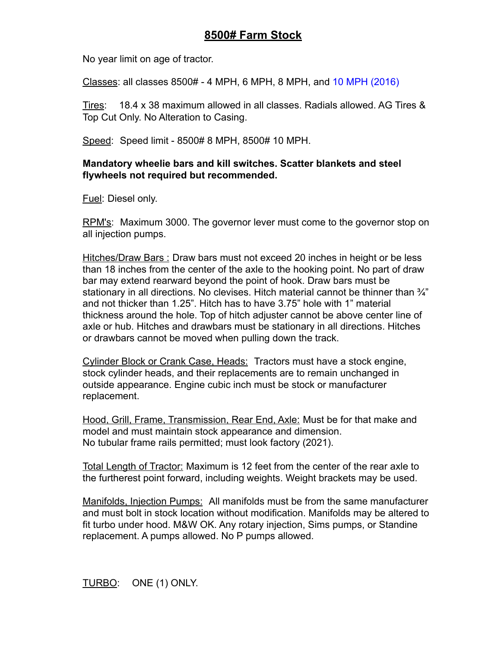# **8500# Farm Stock**

No year limit on age of tractor.

Classes: all classes 8500# - 4 MPH, 6 MPH, 8 MPH, and 10 MPH (2016)

Tires: 18.4 x 38 maximum allowed in all classes. Radials allowed. AG Tires & Top Cut Only. No Alteration to Casing.

Speed: Speed limit - 8500# 8 MPH, 8500# 10 MPH.

### **Mandatory wheelie bars and kill switches. Scatter blankets and steel flywheels not required but recommended.**

Fuel: Diesel only.

RPM's: Maximum 3000. The governor lever must come to the governor stop on all injection pumps.

Hitches/Draw Bars : Draw bars must not exceed 20 inches in height or be less than 18 inches from the center of the axle to the hooking point. No part of draw bar may extend rearward beyond the point of hook. Draw bars must be stationary in all directions. No clevises. Hitch material cannot be thinner than  $\frac{3}{4}$ " and not thicker than 1.25". Hitch has to have 3.75" hole with 1" material thickness around the hole. Top of hitch adjuster cannot be above center line of axle or hub. Hitches and drawbars must be stationary in all directions. Hitches or drawbars cannot be moved when pulling down the track.

Cylinder Block or Crank Case, Heads: Tractors must have a stock engine, stock cylinder heads, and their replacements are to remain unchanged in outside appearance. Engine cubic inch must be stock or manufacturer replacement.

Hood, Grill, Frame, Transmission, Rear End, Axle: Must be for that make and model and must maintain stock appearance and dimension. No tubular frame rails permitted; must look factory (2021).

Total Length of Tractor: Maximum is 12 feet from the center of the rear axle to the furtherest point forward, including weights. Weight brackets may be used.

Manifolds, Injection Pumps: All manifolds must be from the same manufacturer and must bolt in stock location without modification. Manifolds may be altered to fit turbo under hood. M&W OK. Any rotary injection, Sims pumps, or Standine replacement. A pumps allowed. No P pumps allowed.

TURBO: ONE (1) ONLY.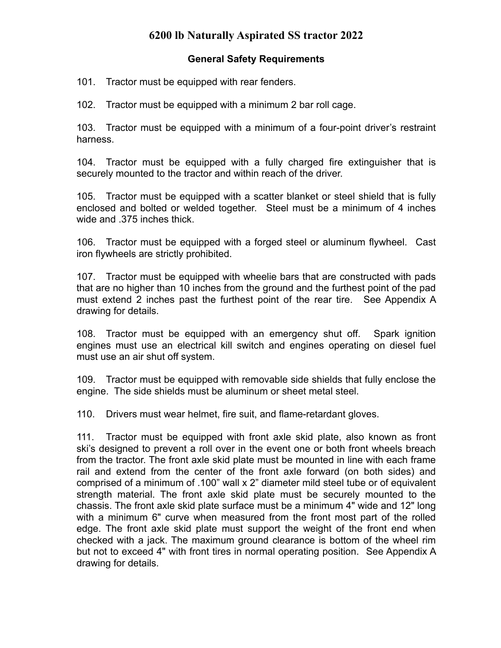# **6200 lb Naturally Aspirated SS tractor 2022**

### **General Safety Requirements**

101. Tractor must be equipped with rear fenders.

102. Tractor must be equipped with a minimum 2 bar roll cage.

103. Tractor must be equipped with a minimum of a four-point driver's restraint harness.

104. Tractor must be equipped with a fully charged fire extinguisher that is securely mounted to the tractor and within reach of the driver.

105. Tractor must be equipped with a scatter blanket or steel shield that is fully enclosed and bolted or welded together. Steel must be a minimum of 4 inches wide and .375 inches thick.

106. Tractor must be equipped with a forged steel or aluminum flywheel. Cast iron flywheels are strictly prohibited.

107. Tractor must be equipped with wheelie bars that are constructed with pads that are no higher than 10 inches from the ground and the furthest point of the pad must extend 2 inches past the furthest point of the rear tire. See Appendix A drawing for details.

108. Tractor must be equipped with an emergency shut off. Spark ignition engines must use an electrical kill switch and engines operating on diesel fuel must use an air shut off system.

109. Tractor must be equipped with removable side shields that fully enclose the engine. The side shields must be aluminum or sheet metal steel.

110. Drivers must wear helmet, fire suit, and flame-retardant gloves.

111. Tractor must be equipped with front axle skid plate, also known as front ski's designed to prevent a roll over in the event one or both front wheels breach from the tractor. The front axle skid plate must be mounted in line with each frame rail and extend from the center of the front axle forward (on both sides) and comprised of a minimum of .100" wall x 2" diameter mild steel tube or of equivalent strength material. The front axle skid plate must be securely mounted to the chassis. The front axle skid plate surface must be a minimum 4" wide and 12" long with a minimum 6" curve when measured from the front most part of the rolled edge. The front axle skid plate must support the weight of the front end when checked with a jack. The maximum ground clearance is bottom of the wheel rim but not to exceed 4" with front tires in normal operating position. See Appendix A drawing for details.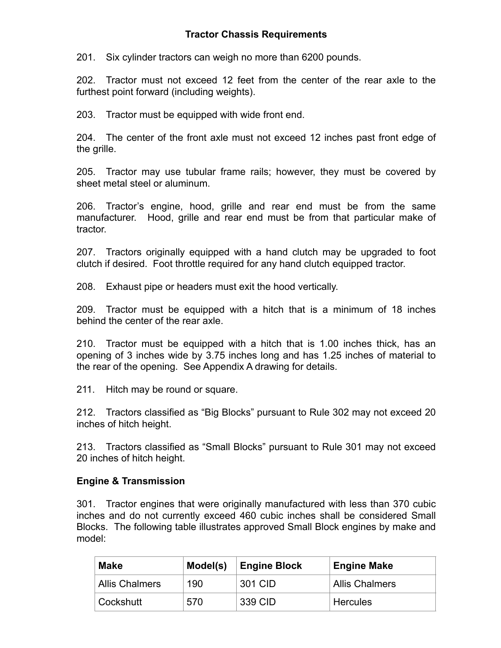### **Tractor Chassis Requirements**

201. Six cylinder tractors can weigh no more than 6200 pounds.

202. Tractor must not exceed 12 feet from the center of the rear axle to the furthest point forward (including weights).

203. Tractor must be equipped with wide front end.

204. The center of the front axle must not exceed 12 inches past front edge of the grille.

205. Tractor may use tubular frame rails; however, they must be covered by sheet metal steel or aluminum.

206. Tractor's engine, hood, grille and rear end must be from the same manufacturer. Hood, grille and rear end must be from that particular make of tractor.

207. Tractors originally equipped with a hand clutch may be upgraded to foot clutch if desired. Foot throttle required for any hand clutch equipped tractor.

208. Exhaust pipe or headers must exit the hood vertically.

209. Tractor must be equipped with a hitch that is a minimum of 18 inches behind the center of the rear axle.

210. Tractor must be equipped with a hitch that is 1.00 inches thick, has an opening of 3 inches wide by 3.75 inches long and has 1.25 inches of material to the rear of the opening. See Appendix A drawing for details.

211. Hitch may be round or square.

212. Tractors classified as "Big Blocks" pursuant to Rule 302 may not exceed 20 inches of hitch height.

213. Tractors classified as "Small Blocks" pursuant to Rule 301 may not exceed 20 inches of hitch height.

### **Engine & Transmission**

301. Tractor engines that were originally manufactured with less than 370 cubic inches and do not currently exceed 460 cubic inches shall be considered Small Blocks. The following table illustrates approved Small Block engines by make and model:

| <b>Make</b>           | Model(s) | <b>Engine Block</b> | <b>Engine Make</b>    |
|-----------------------|----------|---------------------|-----------------------|
| <b>Allis Chalmers</b> | 190      | 301 CID             | <b>Allis Chalmers</b> |
| ∣ Cockshutt           | 570      | 339 CID             | <b>Hercules</b>       |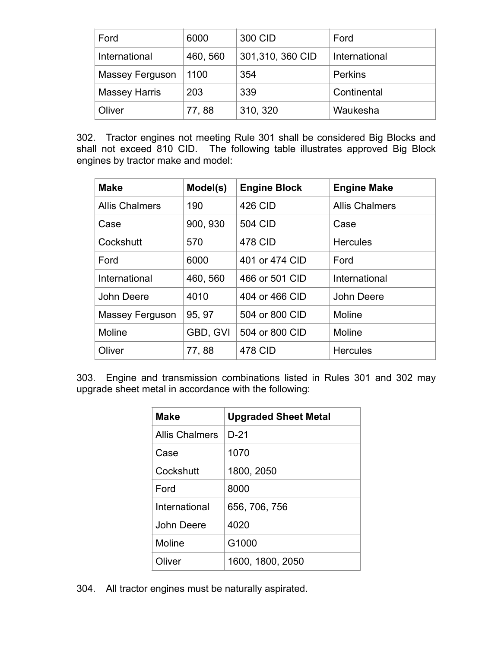| Ford                 | 6000     | 300 CID          | Ford           |
|----------------------|----------|------------------|----------------|
| International        | 460, 560 | 301,310, 360 CID | International  |
| Massey Ferguson      | 1100     | 354              | <b>Perkins</b> |
| <b>Massey Harris</b> | 203      | 339              | Continental    |
| Oliver               | 77,88    | 310, 320         | Waukesha       |

302. Tractor engines not meeting Rule 301 shall be considered Big Blocks and shall not exceed 810 CID. The following table illustrates approved Big Block engines by tractor make and model:

| <b>Make</b>           | Model(s) | <b>Engine Block</b> | <b>Engine Make</b>    |
|-----------------------|----------|---------------------|-----------------------|
| <b>Allis Chalmers</b> | 190      | <b>426 CID</b>      | <b>Allis Chalmers</b> |
| Case                  | 900, 930 | <b>504 CID</b>      | Case                  |
| Cockshutt             | 570      | 478 CID             | <b>Hercules</b>       |
| Ford                  | 6000     | 401 or 474 CID      | Ford                  |
| International         | 460, 560 | 466 or 501 CID      | International         |
| John Deere            | 4010     | 404 or 466 CID      | John Deere            |
| Massey Ferguson       | 95, 97   | 504 or 800 CID      | Moline                |
| Moline                | GBD, GVI | 504 or 800 CID      | Moline                |
| Oliver                | 77,88    | 478 CID             | <b>Hercules</b>       |

303. Engine and transmission combinations listed in Rules 301 and 302 may upgrade sheet metal in accordance with the following:

| Make                  | <b>Upgraded Sheet Metal</b> |
|-----------------------|-----------------------------|
| <b>Allis Chalmers</b> | $D-21$                      |
| Case                  | 1070                        |
| Cockshutt             | 1800, 2050                  |
| Ford                  | 8000                        |
| International         | 656, 706, 756               |
| John Deere            | 4020                        |
| Moline                | G1000                       |
| Oliver                | 1600, 1800, 2050            |

304. All tractor engines must be naturally aspirated.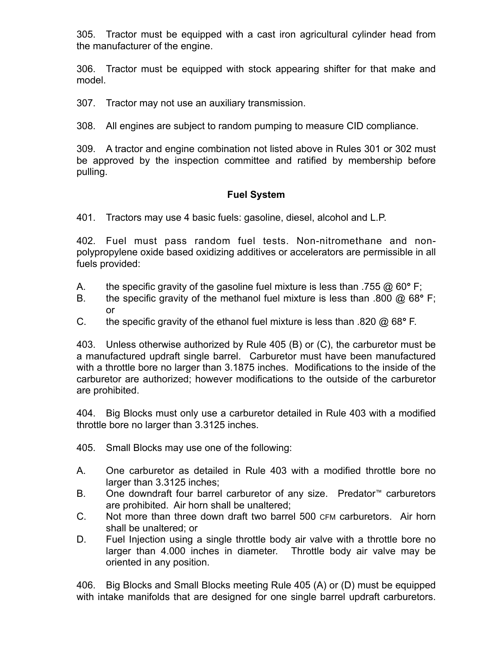305. Tractor must be equipped with a cast iron agricultural cylinder head from the manufacturer of the engine.

306. Tractor must be equipped with stock appearing shifter for that make and model.

307. Tractor may not use an auxiliary transmission.

308. All engines are subject to random pumping to measure CID compliance.

309. A tractor and engine combination not listed above in Rules 301 or 302 must be approved by the inspection committee and ratified by membership before pulling.

### **Fuel System**

401. Tractors may use 4 basic fuels: gasoline, diesel, alcohol and L.P.

402. Fuel must pass random fuel tests. Non-nitromethane and nonpolypropylene oxide based oxidizing additives or accelerators are permissible in all fuels provided:

- A. the specific gravity of the gasoline fuel mixture is less than .755 @ 60**°** F;
- B. the specific gravity of the methanol fuel mixture is less than .800 @ 68**°** F; or
- C. the specific gravity of the ethanol fuel mixture is less than .820 @ 68**°** F.

403. Unless otherwise authorized by Rule 405 (B) or (C), the carburetor must be a manufactured updraft single barrel. Carburetor must have been manufactured with a throttle bore no larger than 3.1875 inches. Modifications to the inside of the carburetor are authorized; however modifications to the outside of the carburetor are prohibited.

404. Big Blocks must only use a carburetor detailed in Rule 403 with a modified throttle bore no larger than 3.3125 inches.

405. Small Blocks may use one of the following:

- A. One carburetor as detailed in Rule 403 with a modified throttle bore no larger than 3.3125 inches;
- B. One downdraft four barrel carburetor of any size. Predator™ carburetors are prohibited. Air horn shall be unaltered;
- C. Not more than three down draft two barrel 500 CFM carburetors. Air horn shall be unaltered; or
- D. Fuel Injection using a single throttle body air valve with a throttle bore no larger than 4.000 inches in diameter. Throttle body air valve may be oriented in any position.

406. Big Blocks and Small Blocks meeting Rule 405 (A) or (D) must be equipped with intake manifolds that are designed for one single barrel updraft carburetors.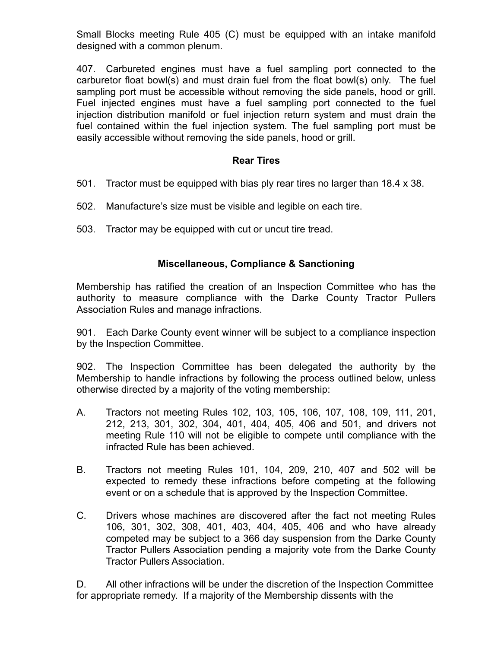Small Blocks meeting Rule 405 (C) must be equipped with an intake manifold designed with a common plenum.

407. Carbureted engines must have a fuel sampling port connected to the carburetor float bowl(s) and must drain fuel from the float bowl(s) only. The fuel sampling port must be accessible without removing the side panels, hood or grill. Fuel injected engines must have a fuel sampling port connected to the fuel injection distribution manifold or fuel injection return system and must drain the fuel contained within the fuel injection system. The fuel sampling port must be easily accessible without removing the side panels, hood or grill.

### **Rear Tires**

- 501. Tractor must be equipped with bias ply rear tires no larger than 18.4 x 38.
- 502. Manufacture's size must be visible and legible on each tire.
- 503. Tractor may be equipped with cut or uncut tire tread.

### **Miscellaneous, Compliance & Sanctioning**

Membership has ratified the creation of an Inspection Committee who has the authority to measure compliance with the Darke County Tractor Pullers Association Rules and manage infractions.

901. Each Darke County event winner will be subject to a compliance inspection by the Inspection Committee.

902. The Inspection Committee has been delegated the authority by the Membership to handle infractions by following the process outlined below, unless otherwise directed by a majority of the voting membership:

- A. Tractors not meeting Rules 102, 103, 105, 106, 107, 108, 109, 111, 201, 212, 213, 301, 302, 304, 401, 404, 405, 406 and 501, and drivers not meeting Rule 110 will not be eligible to compete until compliance with the infracted Rule has been achieved.
- B. Tractors not meeting Rules 101, 104, 209, 210, 407 and 502 will be expected to remedy these infractions before competing at the following event or on a schedule that is approved by the Inspection Committee.
- C. Drivers whose machines are discovered after the fact not meeting Rules 106, 301, 302, 308, 401, 403, 404, 405, 406 and who have already competed may be subject to a 366 day suspension from the Darke County Tractor Pullers Association pending a majority vote from the Darke County Tractor Pullers Association.

D. All other infractions will be under the discretion of the Inspection Committee for appropriate remedy. If a majority of the Membership dissents with the